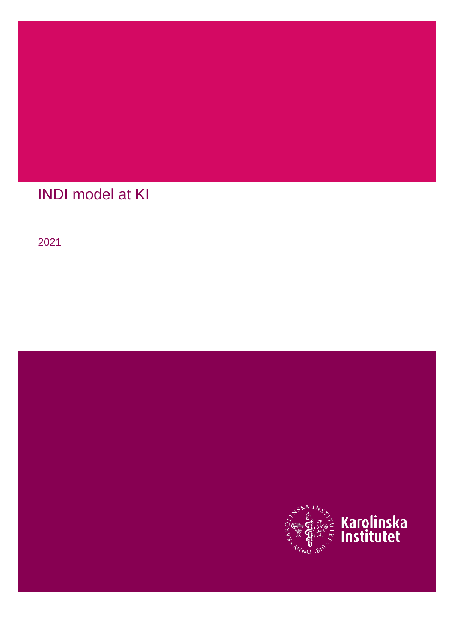

# INDI model at KI

2021

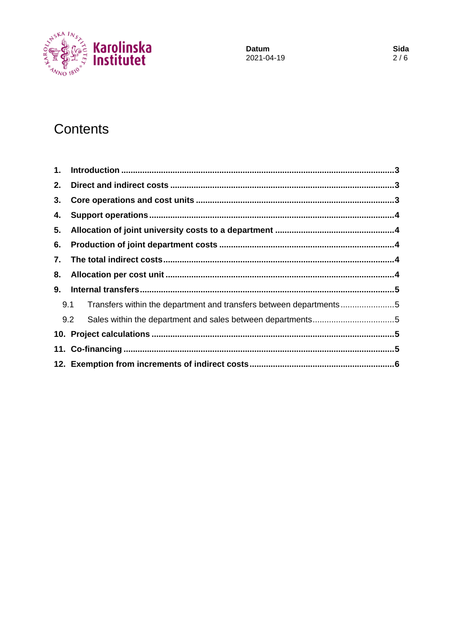

Datum 2021-04-19

# Contents

| 1. |                                                                           |  |
|----|---------------------------------------------------------------------------|--|
| 2. |                                                                           |  |
| 3. |                                                                           |  |
| 4. |                                                                           |  |
| 5. |                                                                           |  |
| 6. |                                                                           |  |
| 7. |                                                                           |  |
| 8. |                                                                           |  |
| 9. |                                                                           |  |
|    | Transfers within the department and transfers between departments5<br>9.1 |  |
|    | 9.2                                                                       |  |
|    |                                                                           |  |
|    |                                                                           |  |
|    |                                                                           |  |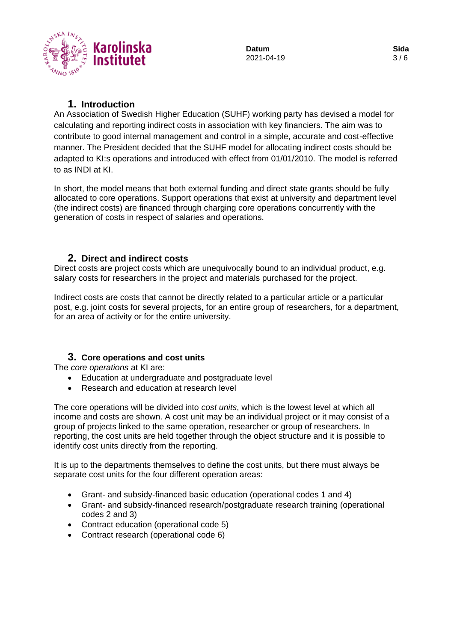

### **1. Introduction**

<span id="page-2-0"></span>An Association of Swedish Higher Education (SUHF) working party has devised a model for calculating and reporting indirect costs in association with key financiers. The aim was to contribute to good internal management and control in a simple, accurate and cost-effective manner. The President decided that the SUHF model for allocating indirect costs should be adapted to KI:s operations and introduced with effect from 01/01/2010. The model is referred to as INDI at KI.

In short, the model means that both external funding and direct state grants should be fully allocated to core operations. Support operations that exist at university and department level (the indirect costs) are financed through charging core operations concurrently with the generation of costs in respect of salaries and operations.

#### <span id="page-2-1"></span>**2. Direct and indirect costs**

Direct costs are project costs which are unequivocally bound to an individual product, e.g. salary costs for researchers in the project and materials purchased for the project.

Indirect costs are costs that cannot be directly related to a particular article or a particular post, e.g. joint costs for several projects, for an entire group of researchers, for a department, for an area of activity or for the entire university.

#### <span id="page-2-2"></span>**3. Core operations and cost units**

The *core operations* at KI are:

- Education at undergraduate and postgraduate level
- Research and education at research level

The core operations will be divided into *cost units*, which is the lowest level at which all income and costs are shown. A cost unit may be an individual project or it may consist of a group of projects linked to the same operation, researcher or group of researchers. In reporting, the cost units are held together through the object structure and it is possible to identify cost units directly from the reporting.

It is up to the departments themselves to define the cost units, but there must always be separate cost units for the four different operation areas:

- Grant- and subsidy-financed basic education (operational codes 1 and 4)
- Grant- and subsidy-financed research/postgraduate research training (operational codes 2 and 3)
- Contract education (operational code 5)
- Contract research (operational code 6)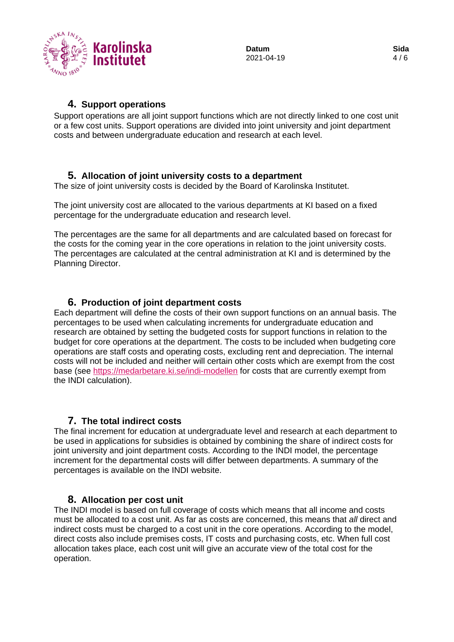

#### **4. Support operations**

<span id="page-3-0"></span>Support operations are all joint support functions which are not directly linked to one cost unit or a few cost units. Support operations are divided into joint university and joint department costs and between undergraduate education and research at each level.

#### <span id="page-3-1"></span>**5. Allocation of joint university costs to a department**

The size of joint university costs is decided by the Board of Karolinska Institutet.

The joint university cost are allocated to the various departments at KI based on a fixed percentage for the undergraduate education and research level.

The percentages are the same for all departments and are calculated based on forecast for the costs for the coming year in the core operations in relation to the joint university costs. The percentages are calculated at the central administration at KI and is determined by the Planning Director.

### <span id="page-3-2"></span>**6. Production of joint department costs**

Each department will define the costs of their own support functions on an annual basis. The percentages to be used when calculating increments for undergraduate education and research are obtained by setting the budgeted costs for support functions in relation to the budget for core operations at the department. The costs to be included when budgeting core operations are staff costs and operating costs, excluding rent and depreciation. The internal costs will not be included and neither will certain other costs which are exempt from the cost base (see<https://medarbetare.ki.se/indi-modellen> for costs that are currently exempt from the INDI calculation).

#### <span id="page-3-3"></span>**7. The total indirect costs**

The final increment for education at undergraduate level and research at each department to be used in applications for subsidies is obtained by combining the share of indirect costs for joint university and joint department costs. According to the INDI model, the percentage increment for the departmental costs will differ between departments. A summary of the percentages is available on the INDI website.

#### <span id="page-3-4"></span>**8. Allocation per cost unit**

The INDI model is based on full coverage of costs which means that all income and costs must be allocated to a cost unit. As far as costs are concerned, this means that *all* direct and indirect costs must be charged to a cost unit in the core operations. According to the model, direct costs also include premises costs, IT costs and purchasing costs, etc. When full cost allocation takes place, each cost unit will give an accurate view of the total cost for the operation.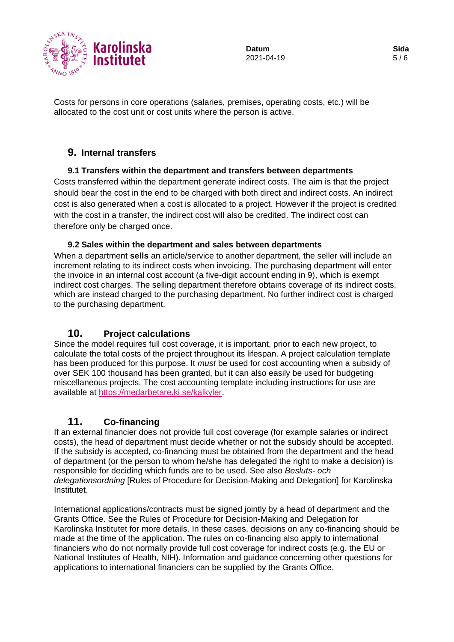

Costs for persons in core operations (salaries, premises, operating costs, etc.) will be allocated to the cost unit or cost units where the person is active.

## <span id="page-4-0"></span>**9. Internal transfers**

#### <span id="page-4-1"></span>**9.1 Transfers within the department and transfers between departments**

Costs transferred within the department generate indirect costs. The aim is that the project should bear the cost in the end to be charged with both direct and indirect costs. An indirect cost is also generated when a cost is allocated to a project. However if the project is credited with the cost in a transfer, the indirect cost will also be credited. The indirect cost can therefore only be charged once.

#### **9.2 Sales within the department and sales between departments**

<span id="page-4-2"></span>When a department **sells** an article/service to another department, the seller will include an increment relating to its indirect costs when invoicing. The purchasing department will enter the invoice in an internal cost account (a five-digit account ending in 9), which is exempt indirect cost charges. The selling department therefore obtains coverage of its indirect costs, which are instead charged to the purchasing department. No further indirect cost is charged to the purchasing department.

#### <span id="page-4-3"></span>**10. Project calculations**

Since the model requires full cost coverage, it is important, prior to each new project, to calculate the total costs of the project throughout its lifespan. A project calculation template has been produced for this purpose. It *must* be used for cost accounting when a subsidy of over SEK 100 thousand has been granted, but it can also easily be used for budgeting miscellaneous projects. The cost accounting template including instructions for use are available at [https://medarbetare.ki.se/kalkyler.](https://medarbetare.ki.se/kalkyler)

#### <span id="page-4-4"></span>**11. Co-financing**

If an external financier does not provide full cost coverage (for example salaries or indirect costs), the head of department must decide whether or not the subsidy should be accepted. If the subsidy is accepted, co-financing must be obtained from the department and the head of department (or the person to whom he/she has delegated the right to make a decision) is responsible for deciding which funds are to be used. See also *Besluts- och delegationsordning* [Rules of Procedure for Decision-Making and Delegation] for Karolinska Institutet.

International applications/contracts must be signed jointly by a head of department and the Grants Office. See the Rules of Procedure for Decision-Making and Delegation for Karolinska Institutet for more details. In these cases, decisions on any co-financing should be made at the time of the application. The rules on co-financing also apply to international financiers who do not normally provide full cost coverage for indirect costs (e.g. the EU or National Institutes of Health, NIH). Information and guidance concerning other questions for applications to international financiers can be supplied by the Grants Office.